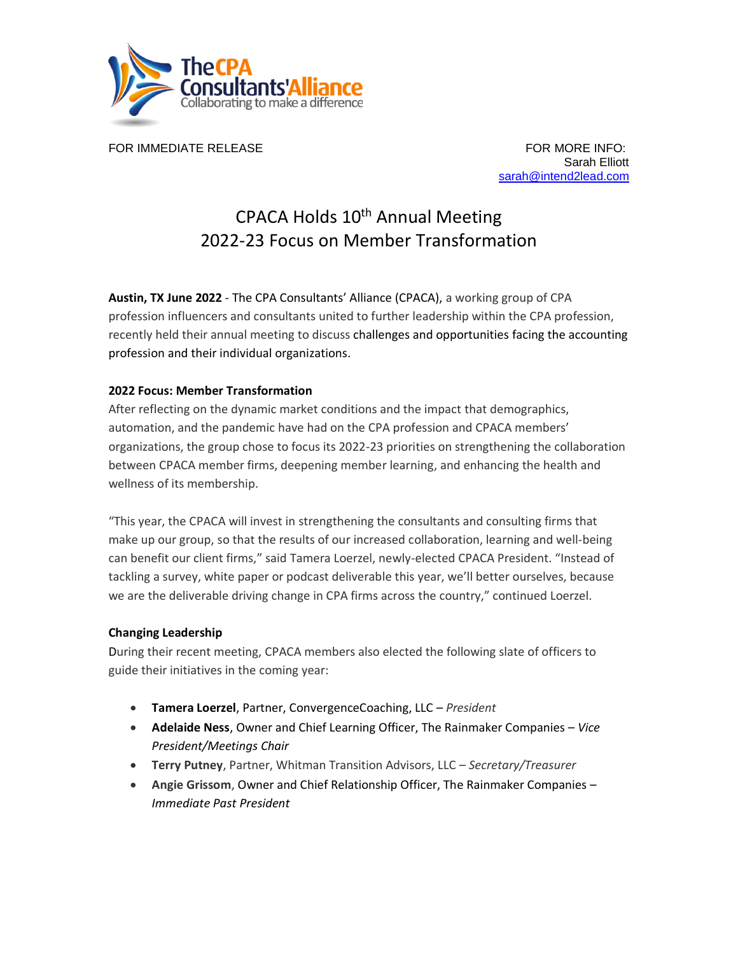

FOR IMMEDIATE RELEASE FOR MORE INFO:

Sarah Elliott sarah@intend2lead.com

## CPACA Holds 10<sup>th</sup> Annual Meeting 2022-23 Focus on Member Transformation

**Austin, TX June 2022** - The CPA Consultants' Alliance (CPACA), a working group of CPA profession influencers and consultants united to further leadership within the CPA profession, recently held their annual meeting to discuss challenges and opportunities facing the accounting profession and their individual organizations.

## **2022 Focus: Member Transformation**

After reflecting on the dynamic market conditions and the impact that demographics, automation, and the pandemic have had on the CPA profession and CPACA members' organizations, the group chose to focus its 2022-23 priorities on strengthening the collaboration between CPACA member firms, deepening member learning, and enhancing the health and wellness of its membership.

"This year, the CPACA will invest in strengthening the consultants and consulting firms that make up our group, so that the results of our increased collaboration, learning and well-being can benefit our client firms," said Tamera Loerzel, newly-elected CPACA President. "Instead of tackling a survey, white paper or podcast deliverable this year, we'll better ourselves, because we are the deliverable driving change in CPA firms across the country," continued Loerzel.

## **Changing Leadership**

During their recent meeting, CPACA members also elected the following slate of officers to guide their initiatives in the coming year:

- **Tamera Loerzel**, Partner, ConvergenceCoaching, LLC *President*
- **Adelaide Ness**, Owner and Chief Learning Officer, The Rainmaker Companies *Vice President/Meetings Chair*
- **Terry Putney**, Partner, Whitman Transition Advisors, LLC *Secretary/Treasurer*
- **Angie Grissom**, Owner and Chief Relationship Officer, The Rainmaker Companies *Immediate Past President*